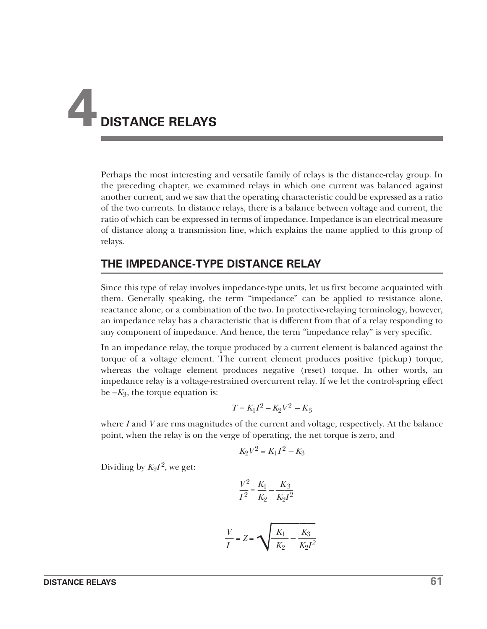# **STANCE RELAYS**

Perhaps the most interesting and versatile family of relays is the distance-relay group. In the preceding chapter, we examined relays in which one current was balanced against another current, and we saw that the operating characteristic could be expressed as a ratio of the two currents. In distance relays, there is a balance between voltage and current, the ratio of which can be expressed in terms of impedance. Impedance is an electrical measure of distance along a transmission line, which explains the name applied to this group of relays.

## THE IMPEDANCE-TYPE DISTANCE RELAY

Since this type of relay involves impedance-type units, let us first become acquainted with them. Generally speaking, the term "impedance" can be applied to resistance alone, reactance alone, or a combination of the two. In protective-relaying terminology, however, an impedance relay has a characteristic that is different from that of a relay responding to any component of impedance. And hence, the term "impedance relay" is very specific.

In an impedance relay, the torque produced by a current element is balanced against the torque of a voltage element. The current element produces positive (pickup) torque, whereas the voltage element produces negative (reset) torque. In other words, an impedance relay is a voltage-restrained overcurrent relay. If we let the control-spring effect be  $-K_3$ , the torque equation is:

$$
T = K_1 I^2 - K_2 V^2 - K_3
$$

where  $I$  and  $V$  are rms magnitudes of the current and voltage, respectively. At the balance point, when the relay is on the verge of operating, the net torque is zero, and

$$
K_2 V^2 = K_1 I^2 - K_3
$$

Dividing by  $K_2I^2$ , we get:

$$
\frac{V^2}{I^2} = \frac{K_1}{K_2} - \frac{K_3}{K_2 I^2}
$$

$$
\frac{V}{I} = Z = \sqrt{\frac{K_1}{K_2} - \frac{K_3}{K_2 I^2}}
$$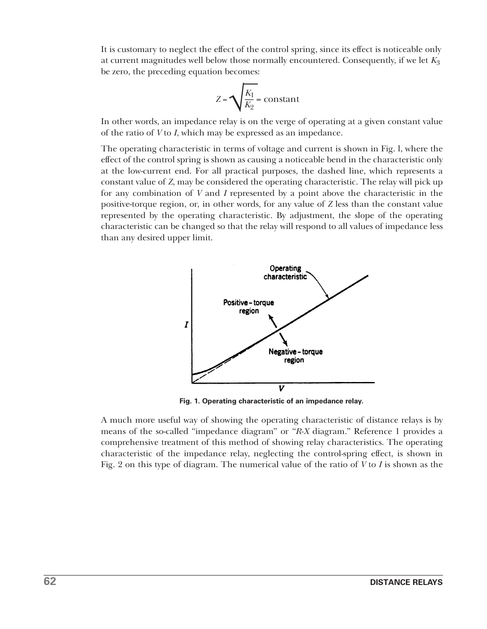It is customary to neglect the effect of the control spring, since its effect is noticeable only at current magnitudes well below those normally encountered. Consequently, if we let  $K_3$ be zero, the preceding equation becomes:

$$
Z = \sqrt{\frac{K_1}{K_2}} = \text{constant}
$$

In other words, an impedance relay is on the verge of operating at a given constant value of the ratio of V to I, which may be expressed as an impedance.

The operating characteristic in terms of voltage and current is shown in Fig. l, where the effect of the control spring is shown as causing a noticeable bend in the characteristic only at the low-current end. For all practical purposes, the dashed line, which represents a constant value of Z, may be considered the operating characteristic. The relay will pick up for any combination of  $V$  and  $I$  represented by a point above the characteristic in the positive-torque region, or, in other words, for any value of Z less than the constant value represented by the operating characteristic. By adjustment, the slope of the operating characteristic can be changed so that the relay will respond to all values of impedance less than any desired upper limit.



Fig. 1. Operating characteristic of an impedance relay.

A much more useful way of showing the operating characteristic of distance relays is by means of the so-called "impedance diagram" or "R-X diagram." Reference 1 provides a comprehensive treatment of this method of showing relay characteristics. The operating characteristic of the impedance relay, neglecting the control-spring effect, is shown in Fig. 2 on this type of diagram. The numerical value of the ratio of  $V$  to  $I$  is shown as the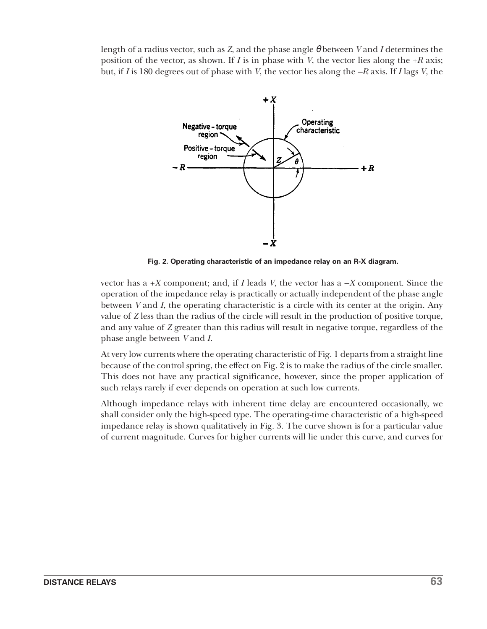length of a radius vector, such as Z, and the phase angle  $\theta$  between V and I determines the position of the vector, as shown. If I is in phase with V, the vector lies along the  $+R$  axis; but, if I is 180 degrees out of phase with V, the vector lies along the  $-R$  axis. If I lags V, the



Fig. 2. Operating characteristic of an impedance relay on an R-X diagram.

vector has a  $+X$  component; and, if I leads V, the vector has a  $-X$  component. Since the operation of the impedance relay is practically or actually independent of the phase angle between  $V$  and  $I$ , the operating characteristic is a circle with its center at the origin. Any value of Z less than the radius of the circle will result in the production of positive torque, and any value of Z greater than this radius will result in negative torque, regardless of the phase angle between V and I.

At very low currents where the operating characteristic of Fig. 1 departs from a straight line because of the control spring, the effect on Fig. 2 is to make the radius of the circle smaller. This does not have any practical significance, however, since the proper application of such relays rarely if ever depends on operation at such low currents.

Although impedance relays with inherent time delay are encountered occasionally, we shall consider only the high-speed type. The operating-time characteristic of a high-speed impedance relay is shown qualitatively in Fig. 3. The curve shown is for a particular value of current magnitude. Curves for higher currents will lie under this curve, and curves for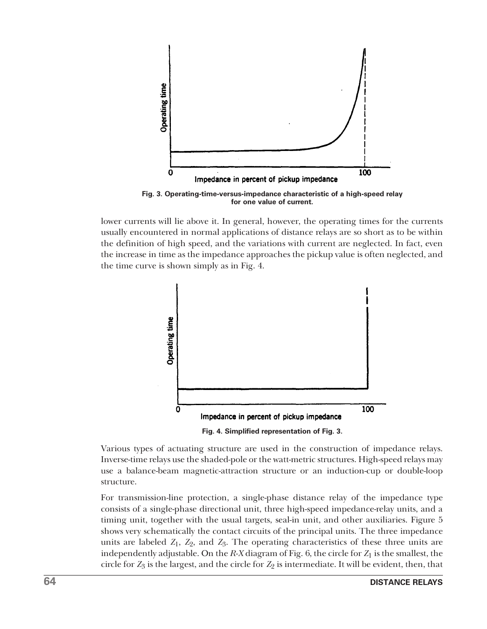

Fig. 3. Operating-time-versus-impedance characteristic of a high-speed relay for one value of current.

lower currents will lie above it. In general, however, the operating times for the currents usually encountered in normal applications of distance relays are so short as to be within the definition of high speed, and the variations with current are neglected. In fact, even the increase in time as the impedance approaches the pickup value is often neglected, and the time curve is shown simply as in Fig. 4.



Various types of actuating structure are used in the construction of impedance relays. Inverse-time relays use the shaded-pole or the watt-metric structures. High-speed relays may use a balance-beam magnetic-attraction structure or an induction-cup or double-loop structure.

For transmission-line protection, a single-phase distance relay of the impedance type consists of a single-phase directional unit, three high-speed impedance-relay units, and a timing unit, together with the usual targets, seal-in unit, and other auxiliaries. Figure 5 shows very schematically the contact circuits of the principal units. The three impedance units are labeled  $Z_1$ ,  $Z_2$ , and  $Z_3$ . The operating characteristics of these three units are independently adjustable. On the R-X diagram of Fig. 6, the circle for  $Z_1$  is the smallest, the circle for  $Z_3$  is the largest, and the circle for  $Z_2$  is intermediate. It will be evident, then, that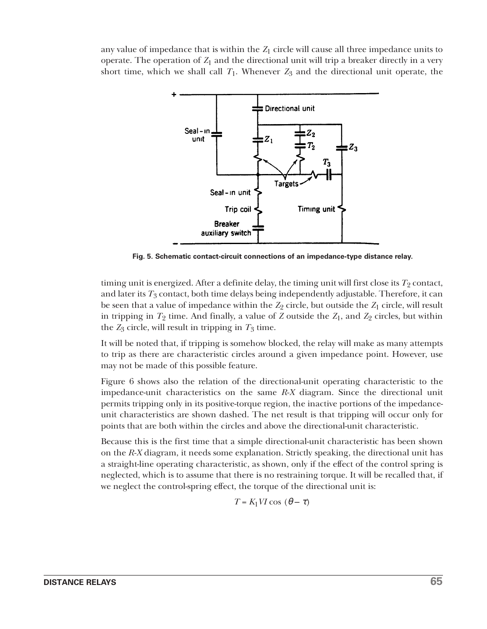any value of impedance that is within the  $Z_1$  circle will cause all three impedance units to operate. The operation of  $Z_1$  and the directional unit will trip a breaker directly in a very short time, which we shall call  $T_1$ . Whenever  $Z_3$  and the directional unit operate, the



Fig. 5. Schematic contact-circuit connections of an impedance-type distance relay.

timing unit is energized. After a definite delay, the timing unit will first close its  $T_2$  contact, and later its  $T_3$  contact, both time delays being independently adjustable. Therefore, it can be seen that a value of impedance within the  $Z_2$  circle, but outside the  $Z_1$  circle, will result in tripping in  $T_2$  time. And finally, a value of Z outside the  $Z_1$ , and  $Z_2$  circles, but within the  $Z_3$  circle, will result in tripping in  $T_3$  time.

It will be noted that, if tripping is somehow blocked, the relay will make as many attempts to trip as there are characteristic circles around a given impedance point. However, use may not be made of this possible feature.

Figure 6 shows also the relation of the directional-unit operating characteristic to the impedance-unit characteristics on the same R-X diagram. Since the directional unit permits tripping only in its positive-torque region, the inactive portions of the impedanceunit characteristics are shown dashed. The net result is that tripping will occur only for points that are both within the circles and above the directional-unit characteristic.

Because this is the first time that a simple directional-unit characteristic has been shown on the R-X diagram, it needs some explanation. Strictly speaking, the directional unit has a straight-line operating characteristic, as shown, only if the effect of the control spring is neglected, which is to assume that there is no restraining torque. It will be recalled that, if we neglect the control-spring effect, the torque of the directional unit is:

$$
T = K_1 V I \cos (\theta - \tau)
$$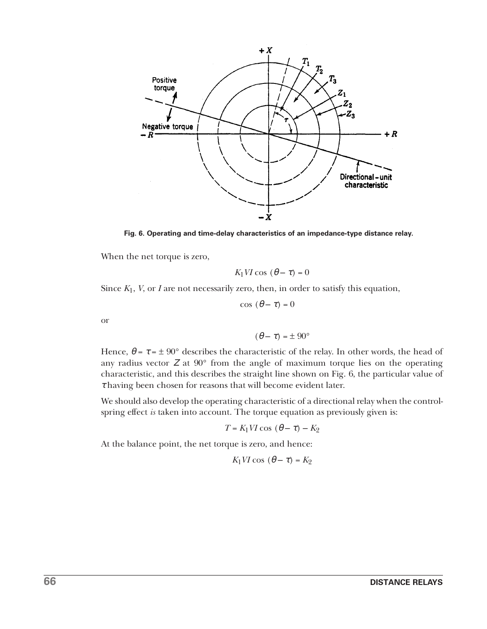

Fig. 6. Operating and time-delay characteristics of an impedance-type distance relay.

When the net torque is zero,

$$
K_1 VI\cos\left(\theta-\tau\right)=0
$$

Since  $K_1$ , V, or I are not necessarily zero, then, in order to satisfy this equation,

$$
\cos\left(\theta-\tau\right)=0
$$

or

$$
(\theta - \tau) = \pm 90^{\circ}
$$

Hence,  $\theta = \tau = \pm 90^{\circ}$  describes the characteristic of the relay. In other words, the head of any radius vector  $Z$  at  $90^{\circ}$  from the angle of maximum torque lies on the operating characteristic, and this describes the straight line shown on Fig. 6, the particular value of  $\tau$  having been chosen for reasons that will become evident later.

We should also develop the operating characteristic of a directional relay when the controlspring effect *is* taken into account. The torque equation as previously given is:

$$
T = K_1 VI \cos (\theta - \tau) - K_2
$$

At the balance point, the net torque is zero, and hence:

$$
K_1 VI \cos (\theta - \tau) = K_2
$$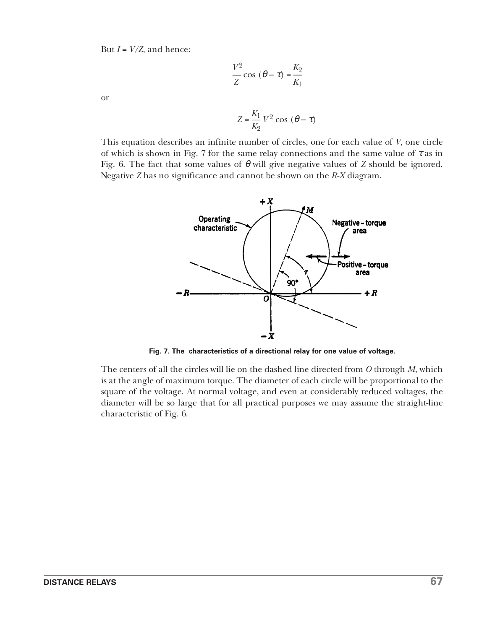But  $I = V/Z$ , and hence:

$$
\frac{V^2}{Z}\cos\left(\theta-\tau\right)=\frac{K_2}{K_1}
$$

or

$$
Z = \frac{K_1}{K_2} V^2 \cos (\theta - \tau)
$$

This equation describes an infinite number of circles, one for each value of V, one circle of which is shown in Fig. 7 for the same relay connections and the same value of  $\tau$  as in Fig. 6. The fact that some values of  $\theta$  will give negative values of Z should be ignored. Negative Z has no significance and cannot be shown on the R-X diagram.



Fig. 7. The characteristics of a directional relay for one value of voltage.

The centers of all the circles will lie on the dashed line directed from  $O$  through  $M$ , which is at the angle of maximum torque. The diameter of each circle will be proportional to the square of the voltage. At normal voltage, and even at considerably reduced voltages, the diameter will be so large that for all practical purposes we may assume the straight-line characteristic of Fig. 6.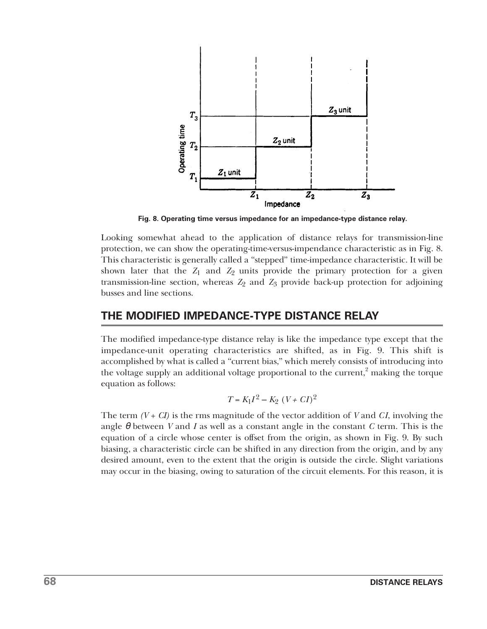

Fig. 8. Operating time versus impedance for an impedance-type distance relay.

Looking somewhat ahead to the application of distance relays for transmission-line protection, we can show the operating-time-versus-impendance characteristic as in Fig. 8. This characteristic is generally called a "stepped" time-impedance characteristic. It will be shown later that the  $Z_1$  and  $Z_2$  units provide the primary protection for a given transmission-line section, whereas  $Z_2$  and  $Z_3$  provide back-up protection for adjoining busses and line sections.

## THE MODIFIED IMPEDANCE-TYPE DISTANCE RELAY

The modified impedance-type distance relay is like the impedance type except that the impedance-unit operating characteristics are shifted, as in Fig. 9. This shift is accomplished by what is called a "current bias," which merely consists of introducing into the voltage supply an additional voltage proportional to the current,<sup>2</sup> making the torque equation as follows:

$$
T = K_1 I^2 - K_2 (V + CI)^2
$$

The term  $(V + CI)$  is the rms magnitude of the vector addition of V and CI, involving the angle  $\theta$  between V and I as well as a constant angle in the constant C term. This is the equation of a circle whose center is offset from the origin, as shown in Fig. 9. By such biasing, a characteristic circle can be shifted in any direction from the origin, and by any desired amount, even to the extent that the origin is outside the circle. Slight variations may occur in the biasing, owing to saturation of the circuit elements. For this reason, it is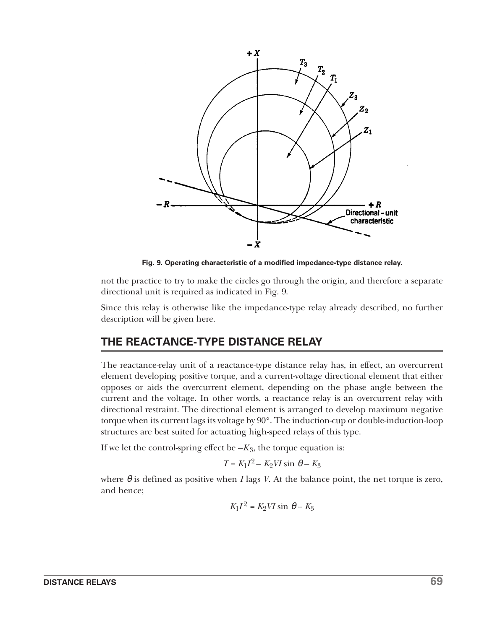

Fig. 9. Operating characteristic of a modified impedance-type distance relay.

not the practice to try to make the circles go through the origin, and therefore a separate directional unit is required as indicated in Fig. 9.

Since this relay is otherwise like the impedance-type relay already described, no further description will be given here.

## THE REACTANCE-TYPE DISTANCE RELAY

The reactance-relay unit of a reactance-type distance relay has, in effect, an overcurrent element developing positive torque, and a current-voltage directional element that either opposes or aids the overcurrent element, depending on the phase angle between the current and the voltage. In other words, a reactance relay is an overcurrent relay with directional restraint. The directional element is arranged to develop maximum negative torque when its current lags its voltage by 90°. The induction-cup or double-induction-loop structures are best suited for actuating high-speed relays of this type.

If we let the control-spring effect be  $-K_3$ , the torque equation is:

$$
T = K_1 I^2 - K_2 VI \sin \theta - K_3
$$

where  $\theta$  is defined as positive when *I* lags *V*. At the balance point, the net torque is zero, and hence;

$$
K_1 I^2 = K_2 VI \sin \theta + K_3
$$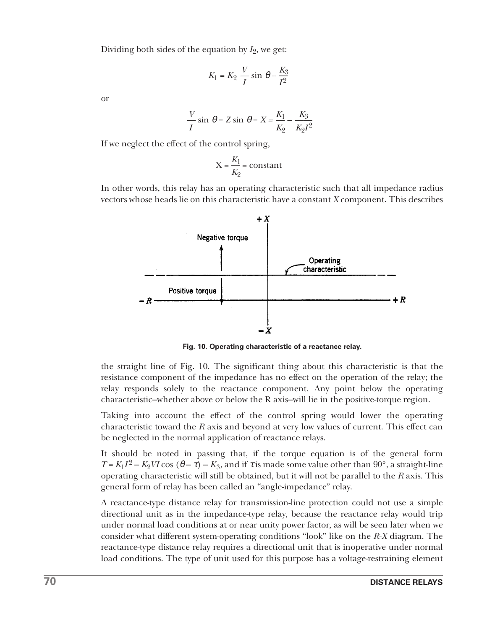Dividing both sides of the equation by  $I_2$ , we get:

$$
K_1 = K_2 \frac{V}{I} \sin \theta + \frac{K_3}{I^2}
$$

or

$$
\frac{V}{I}
$$
 sin  $\theta = Z$  sin  $\theta = X = \frac{K_1}{K_2} - \frac{K_3}{K_2 I^2}$ 

If we neglect the effect of the control spring,

$$
X = \frac{K_1}{K_2} = constant
$$

In other words, this relay has an operating characteristic such that all impedance radius vectors whose heads lie on this characteristic have a constant X component. This describes



Fig. 10. Operating characteristic of a reactance relay.

the straight line of Fig. 10. The significant thing about this characteristic is that the resistance component of the impedance has no effect on the operation of the relay; the relay responds solely to the reactance component. Any point below the operating characteristic–whether above or below the R axis–will lie in the positive-torque region.

Taking into account the effect of the control spring would lower the operating characteristic toward the  $R$  axis and beyond at very low values of current. This effect can be neglected in the normal application of reactance relays.

It should be noted in passing that, if the torque equation is of the general form  $T = K_1 I^2 - K_2 VI \cos{(\theta - \tau)} - K_3$ , and if  $\tau$  is made some value other than 90°, a straight-line operating characteristic will still be obtained, but it will not be parallel to the  $R$  axis. This general form of relay has been called an "angle-impedance" relay.

A reactance-type distance relay for transmission-line protection could not use a simple directional unit as in the impedance-type relay, because the reactance relay would trip under normal load conditions at or near unity power factor, as will be seen later when we consider what different system-operating conditions "look" like on the R-X diagram. The reactance-type distance relay requires a directional unit that is inoperative under normal load conditions. The type of unit used for this purpose has a voltage-restraining element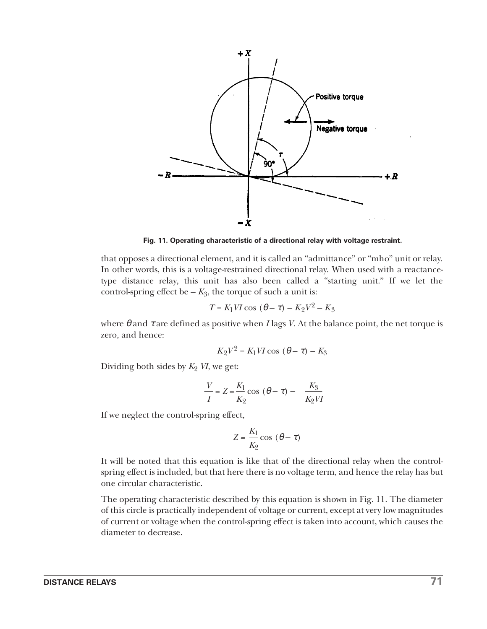

Fig. 11. Operating characteristic of a directional relay with voltage restraint.

that opposes a directional element, and it is called an "admittance" or "mho" unit or relay. In other words, this is a voltage-restrained directional relay. When used with a reactancetype distance relay, this unit has also been called a "starting unit." If we let the control-spring effect be  $-K_3$ , the torque of such a unit is:

$$
T = K_1 VI \cos\left(\theta - \tau\right) - K_2 V^2 - K_3
$$

where  $\theta$  and  $\tau$  are defined as positive when I lags V. At the balance point, the net torque is zero, and hence:

$$
K_2V^2 = K_1VI\cos\left(\theta - \tau\right) - K_3
$$

Dividing both sides by  $K_2$  VI, we get:

$$
\frac{V}{I} = Z = \frac{K_1}{K_2} \cos(\theta - \tau) - \frac{K_3}{K_2 V I}
$$

If we neglect the control-spring effect,

$$
Z = \frac{K_1}{K_2} \cos (\theta - \tau)
$$

It will be noted that this equation is like that of the directional relay when the controlspring effect is included, but that here there is no voltage term, and hence the relay has but one circular characteristic.

The operating characteristic described by this equation is shown in Fig. 11. The diameter of this circle is practically independent of voltage or current, except at very low magnitudes of current or voltage when the control-spring effect is taken into account, which causes the diameter to decrease.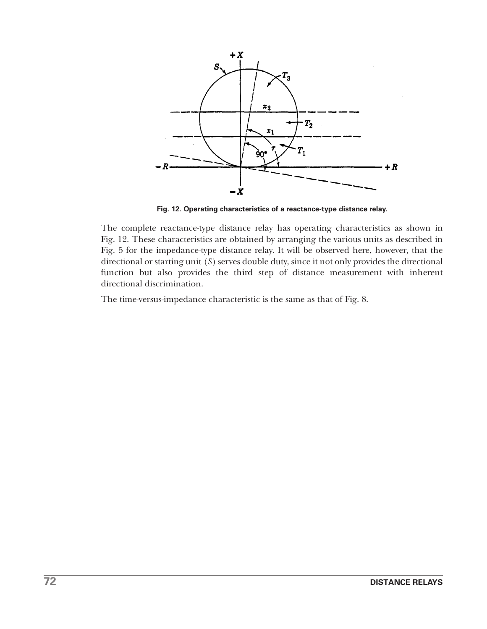

Fig. 12. Operating characteristics of a reactance-type distance relay.

The complete reactance-type distance relay has operating characteristics as shown in Fig. 12. These characteristics are obtained by arranging the various units as described in Fig. 5 for the impedance-type distance relay. It will be observed here, however, that the directional or starting unit (S) serves double duty, since it not only provides the directional function but also provides the third step of distance measurement with inherent directional discrimination.

The time-versus-impedance characteristic is the same as that of Fig. 8.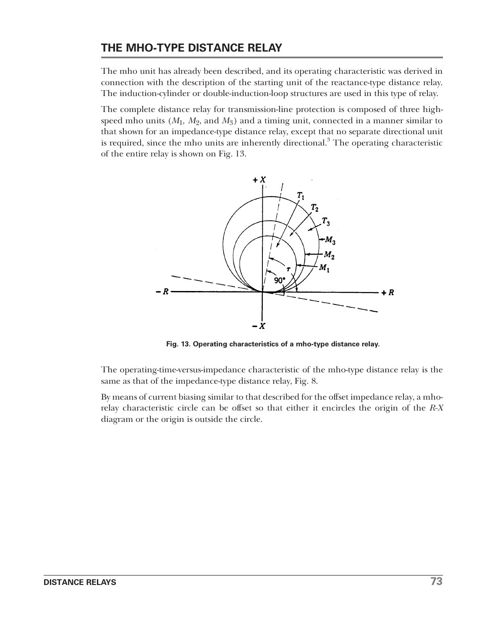# THE MHO-TYPE DISTANCE RELAY

The mho unit has already been described, and its operating characteristic was derived in connection with the description of the starting unit of the reactance-type distance relay. The induction-cylinder or double-induction-loop structures are used in this type of relay.

The complete distance relay for transmission-line protection is composed of three highspeed mho units  $(M_1, M_2, \text{and } M_3)$  and a timing unit, connected in a manner similar to that shown for an impedance-type distance relay, except that no separate directional unit is required, since the mho units are inherently directional.<sup>3</sup> The operating characteristic of the entire relay is shown on Fig. 13.



Fig. 13. Operating characteristics of a mho-type distance relay.

The operating-time-versus-impedance characteristic of the mho-type distance relay is the same as that of the impedance-type distance relay, Fig. 8.

By means of current biasing similar to that described for the offset impedance relay, a mhorelay characteristic circle can be offset so that either it encircles the origin of the R-X diagram or the origin is outside the circle.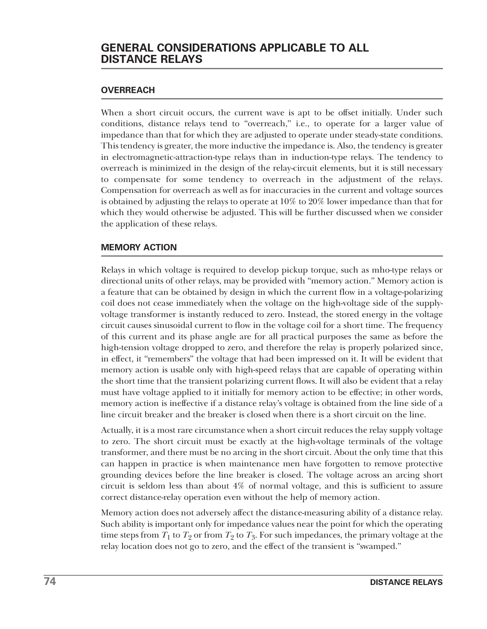#### **OVERREACH**

When a short circuit occurs, the current wave is apt to be offset initially. Under such conditions, distance relays tend to "overreach," i.e., to operate for a larger value of impedance than that for which they are adjusted to operate under steady-state conditions. This tendency is greater, the more inductive the impedance is. Also, the tendency is greater in electromagnetic-attraction-type relays than in induction-type relays. The tendency to overreach is minimized in the design of the relay-circuit elements, but it is still necessary to compensate for some tendency to overreach in the adjustment of the relays. Compensation for overreach as well as for inaccuracies in the current and voltage sources is obtained by adjusting the relays to operate at 10% to 20% lower impedance than that for which they would otherwise be adjusted. This will be further discussed when we consider the application of these relays.

### MEMORY ACTION

Relays in which voltage is required to develop pickup torque, such as mho-type relays or directional units of other relays, may be provided with "memory action." Memory action is a feature that can be obtained by design in which the current flow in a voltage-polarizing coil does not cease immediately when the voltage on the high-voltage side of the supplyvoltage transformer is instantly reduced to zero. Instead, the stored energy in the voltage circuit causes sinusoidal current to flow in the voltage coil for a short time. The frequency of this current and its phase angle are for all practical purposes the same as before the high-tension voltage dropped to zero, and therefore the relay is properly polarized since, in effect, it "remembers" the voltage that had been impressed on it. It will be evident that memory action is usable only with high-speed relays that are capable of operating within the short time that the transient polarizing current flows. It will also be evident that a relay must have voltage applied to it initially for memory action to be effective; in other words, memory action is ineffective if a distance relay's voltage is obtained from the line side of a line circuit breaker and the breaker is closed when there is a short circuit on the line.

Actually, it is a most rare circumstance when a short circuit reduces the relay supply voltage to zero. The short circuit must be exactly at the high-voltage terminals of the voltage transformer, and there must be no arcing in the short circuit. About the only time that this can happen in practice is when maintenance men have forgotten to remove protective grounding devices before the line breaker is closed. The voltage across an arcing short circuit is seldom less than about 4% of normal voltage, and this is sufficient to assure correct distance-relay operation even without the help of memory action.

Memory action does not adversely affect the distance-measuring ability of a distance relay. Such ability is important only for impedance values near the point for which the operating time steps from  $T_1$  to  $T_2$  or from  $T_2$  to  $T_3$ . For such impedances, the primary voltage at the relay location does not go to zero, and the effect of the transient is "swamped."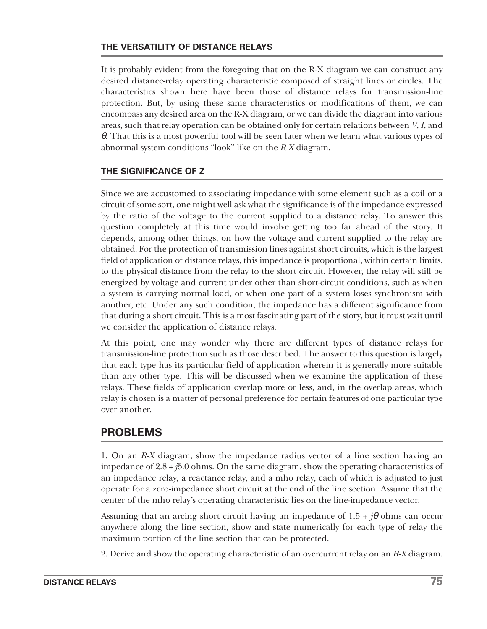It is probably evident from the foregoing that on the R-X diagram we can construct any desired distance-relay operating characteristic composed of straight lines or circles. The characteristics shown here have been those of distance relays for transmission-line protection. But, by using these same characteristics or modifications of them, we can encompass any desired area on the R-X diagram, or we can divide the diagram into various areas, such that relay operation can be obtained only for certain relations between V, I, and <sup>θ</sup>. That this is a most powerful tool will be seen later when we learn what various types of abnormal system conditions "look" like on the R-X diagram.

## THE SIGNIFICANCE OF Z

Since we are accustomed to associating impedance with some element such as a coil or a circuit of some sort, one might well ask what the significance is of the impedance expressed by the ratio of the voltage to the current supplied to a distance relay. To answer this question completely at this time would involve getting too far ahead of the story. It depends, among other things, on how the voltage and current supplied to the relay are obtained. For the protection of transmission lines against short circuits, which is the largest field of application of distance relays, this impedance is proportional, within certain limits, to the physical distance from the relay to the short circuit. However, the relay will still be energized by voltage and current under other than short-circuit conditions, such as when a system is carrying normal load, or when one part of a system loses synchronism with another, etc. Under any such condition, the impedance has a different significance from that during a short circuit. This is a most fascinating part of the story, but it must wait until we consider the application of distance relays.

At this point, one may wonder why there are different types of distance relays for transmission-line protection such as those described. The answer to this question is largely that each type has its particular field of application wherein it is generally more suitable than any other type. This will be discussed when we examine the application of these relays. These fields of application overlap more or less, and, in the overlap areas, which relay is chosen is a matter of personal preference for certain features of one particular type over another.

# PROBLEMS

1. On an R-X diagram, show the impedance radius vector of a line section having an impedance of  $2.8 + j5.0$  ohms. On the same diagram, show the operating characteristics of an impedance relay, a reactance relay, and a mho relay, each of which is adjusted to just operate for a zero-impedance short circuit at the end of the line section. Assume that the center of the mho relay's operating characteristic lies on the line-impedance vector.

Assuming that an arcing short circuit having an impedance of  $1.5 + i\theta$  ohms can occur anywhere along the line section, show and state numerically for each type of relay the maximum portion of the line section that can be protected.

2. Derive and show the operating characteristic of an overcurrent relay on an R-X diagram.